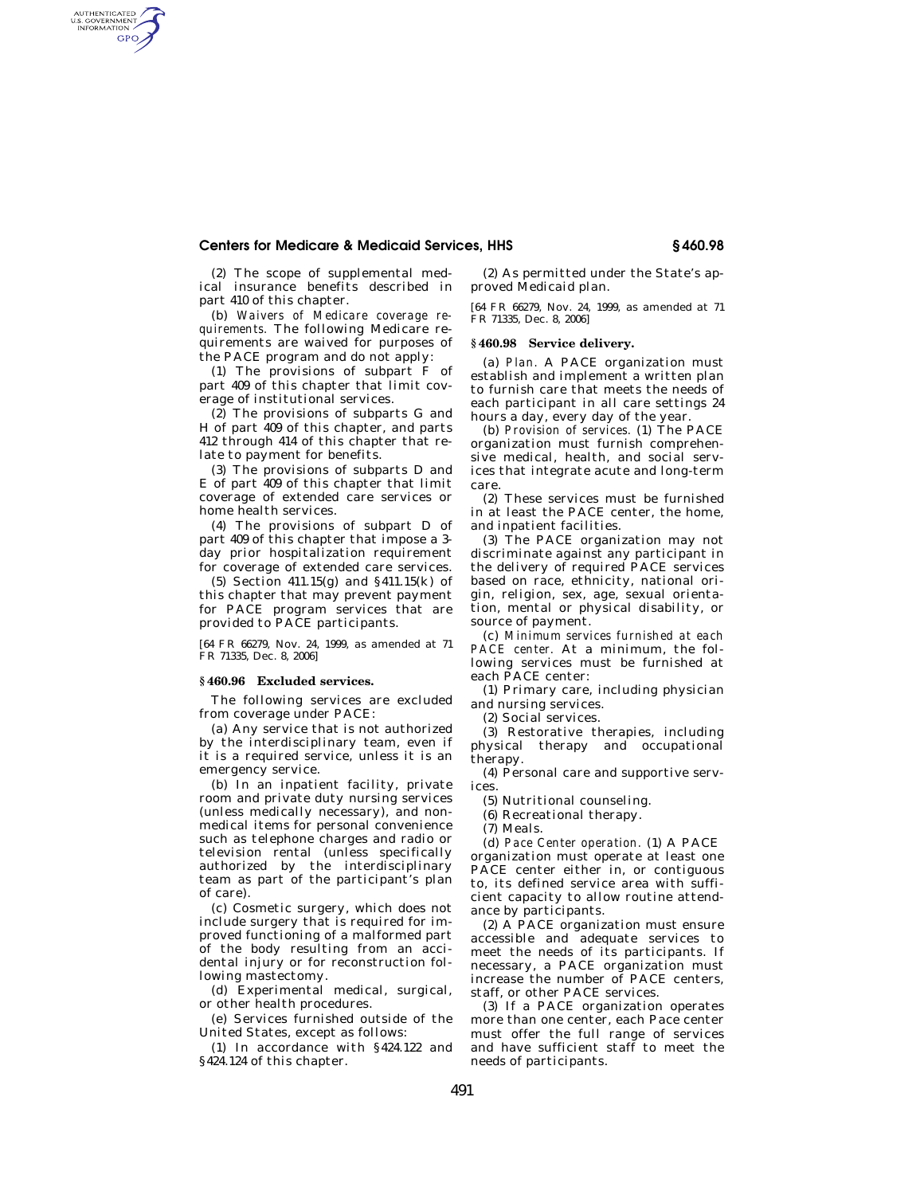# **Centers for Medicare & Medicaid Services, HHS § 460.98**

(2) The scope of supplemental medical insurance benefits described in part 410 of this chapter.

AUTHENTICATED<br>U.S. GOVERNMENT<br>INFORMATION GPO

> (b) *Waivers of Medicare coverage requirements.* The following Medicare requirements are waived for purposes of the PACE program and do not apply:

> (1) The provisions of subpart F of part 409 of this chapter that limit coverage of institutional services.

> (2) The provisions of subparts G and H of part 409 of this chapter, and parts 412 through 414 of this chapter that relate to payment for benefits.

> (3) The provisions of subparts D and E of part 409 of this chapter that limit coverage of extended care services or home health services.

> (4) The provisions of subpart D of part 409 of this chapter that impose a 3 day prior hospitalization requirement for coverage of extended care services.

> (5) Section 411.15(g) and §411.15(k) of this chapter that may prevent payment for PACE program services that are provided to PACE participants.

> [64 FR 66279, Nov. 24, 1999, as amended at 71 FR 71335, Dec. 8, 2006]

## **§ 460.96 Excluded services.**

The following services are excluded from coverage under PACE:

(a) Any service that is not authorized by the interdisciplinary team, even if it is a required service, unless it is an emergency service.

(b) In an inpatient facility, private room and private duty nursing services (unless medically necessary), and nonmedical items for personal convenience such as telephone charges and radio or television rental (unless specifically authorized by the interdisciplinary team as part of the participant's plan of care).

(c) Cosmetic surgery, which does not include surgery that is required for improved functioning of a malformed part of the body resulting from an accidental injury or for reconstruction following mastectomy.

(d) Experimental medical, surgical, or other health procedures.

(e) Services furnished outside of the United States, except as follows:

(1) In accordance with §424.122 and §424.124 of this chapter.

(2) As permitted under the State's approved Medicaid plan.

[64 FR 66279, Nov. 24, 1999, as amended at 71 FR 71335, Dec. 8, 2006]

## **§ 460.98 Service delivery.**

(a) *Plan.* A PACE organization must establish and implement a written plan to furnish care that meets the needs of each participant in all care settings 24 hours a day, every day of the year.

(b) *Provision of services.* (1) The PACE organization must furnish comprehensive medical, health, and social services that integrate acute and long-term care.

(2) These services must be furnished in at least the PACE center, the home, and inpatient facilities.

(3) The PACE organization may not discriminate against any participant in the delivery of required PACE services based on race, ethnicity, national origin, religion, sex, age, sexual orientation, mental or physical disability, or source of payment.

(c) *Minimum services furnished at each PACE center.* At a minimum, the following services must be furnished at each PACE center:

(1) Primary care, including physician and nursing services.

(2) Social services.

(3) Restorative therapies, including physical therapy and occupational therapy.

(4) Personal care and supportive services.

(5) Nutritional counseling.

(6) Recreational therapy.

(7) Meals.

(d) *Pace Center operation.* (1) A PACE organization must operate at least one PACE center either in, or contiguous to, its defined service area with sufficient capacity to allow routine attendance by participants.

(2) A PACE organization must ensure accessible and adequate services to meet the needs of its participants. If necessary, a PACE organization must increase the number of PACE centers, staff, or other PACE services.

(3) If a PACE organization operates more than one center, each Pace center must offer the full range of services and have sufficient staff to meet the needs of participants.